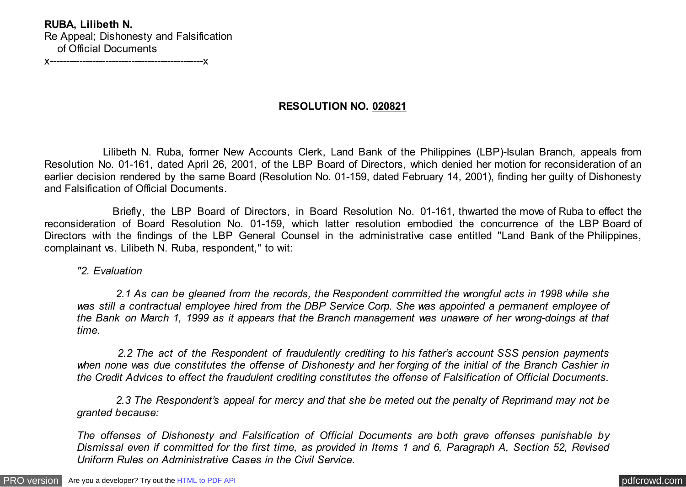**RUBA, Lilibeth N.** Re Appeal; Dishonesty and Falsification of Official Documents

x-----------------------------------------------x

# **RESOLUTION NO. 020821**

 Lilibeth N. Ruba, former New Accounts Clerk, Land Bank of the Philippines (LBP)-Isulan Branch, appeals from Resolution No. 01-161, dated April 26, 2001, of the LBP Board of Directors, which denied her motion for reconsideration of an earlier decision rendered by the same Board (Resolution No. 01-159, dated February 14, 2001), finding her guilty of Dishonesty and Falsification of Official Documents.

 Briefly, the LBP Board of Directors, in Board Resolution No. 01-161, thwarted the move of Ruba to effect the reconsideration of Board Resolution No. 01-159, which latter resolution embodied the concurrence of the LBP Board of Directors with the findings of the LBP General Counsel in the administrative case entitled "Land Bank of the Philippines, complainant vs. Lilibeth N. Ruba, respondent," to wit:

### *"2. Evaluation*

 *2.1 As can be gleaned from the records, the Respondent committed the wrongful acts in 1998 while she was still a contractual employee hired from the DBP Service Corp. She was appointed a permanent employee of the Bank on March 1, 1999 as it appears that the Branch management was unaware of her wrong-doings at that time.*

 *2.2 The act of the Respondent of fraudulently crediting to his father's account SSS pension payments when none was due constitutes the offense of Dishonesty and her forging of the initial of the Branch Cashier in the Credit Advices to effect the fraudulent crediting constitutes the offense of Falsification of Official Documents.*

 *2.3 The Respondent's appeal for mercy and that she be meted out the penalty of Reprimand may not be granted because:*

*The offenses of Dishonesty and Falsification of Official Documents are both grave offenses punishable by Dismissal even if committed for the first time, as provided in Items 1 and 6, Paragraph A, Section 52, Revised Uniform Rules on Administrative Cases in the Civil Service.*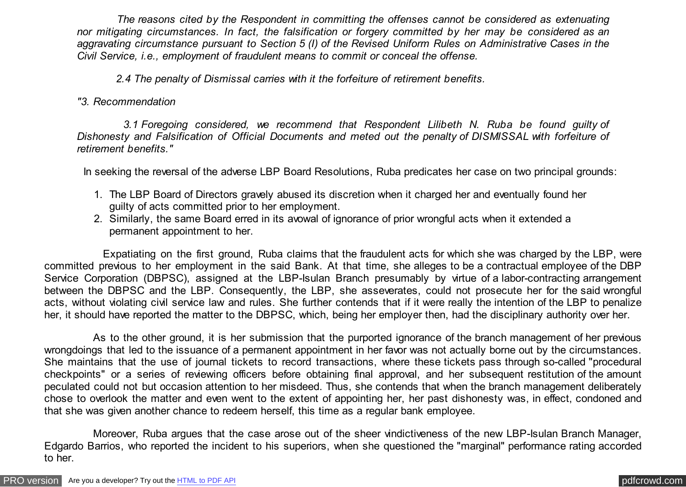*The reasons cited by the Respondent in committing the offenses cannot be considered as extenuating nor mitigating circumstances. In fact, the falsification or forgery committed by her may be considered as an aggravating circumstance pursuant to Section 5 (I) of the Revised Uniform Rules on Administrative Cases in the Civil Service, i.e., employment of fraudulent means to commit or conceal the offense.*

 *2.4 The penalty of Dismissal carries with it the forfeiture of retirement benefits.*

*"3. Recommendation*

 *3.1 Foregoing considered, we recommend that Respondent Lilibeth N. Ruba be found guilty of Dishonesty and Falsification of Official Documents and meted out the penalty of DISMISSAL with forfeiture of retirement benefits."*

In seeking the reversal of the adverse LBP Board Resolutions, Ruba predicates her case on two principal grounds:

- 1. The LBP Board of Directors gravely abused its discretion when it charged her and eventually found her guilty of acts committed prior to her employment.
- 2. Similarly, the same Board erred in its avowal of ignorance of prior wrongful acts when it extended a permanent appointment to her.

 Expatiating on the first ground, Ruba claims that the fraudulent acts for which she was charged by the LBP, were committed previous to her employment in the said Bank. At that time, she alleges to be a contractual employee of the DBP Service Corporation (DBPSC), assigned at the LBP-Isulan Branch presumably by virtue of a labor-contracting arrangement between the DBPSC and the LBP. Consequently, the LBP, she asseverates, could not prosecute her for the said wrongful acts, without violating civil service law and rules. She further contends that if it were really the intention of the LBP to penalize her, it should have reported the matter to the DBPSC, which, being her employer then, had the disciplinary authority over her.

 As to the other ground, it is her submission that the purported ignorance of the branch management of her previous wrongdoings that led to the issuance of a permanent appointment in her favor was not actually borne out by the circumstances. She maintains that the use of journal tickets to record transactions, where these tickets pass through so-called "procedural checkpoints" or a series of reviewing officers before obtaining final approval, and her subsequent restitution of the amount peculated could not but occasion attention to her misdeed. Thus, she contends that when the branch management deliberately chose to overlook the matter and even went to the extent of appointing her, her past dishonesty was, in effect, condoned and that she was given another chance to redeem herself, this time as a regular bank employee.

 Moreover, Ruba argues that the case arose out of the sheer vindictiveness of the new LBP-Isulan Branch Manager, Edgardo Barrios, who reported the incident to his superiors, when she questioned the "marginal" performance rating accorded to her.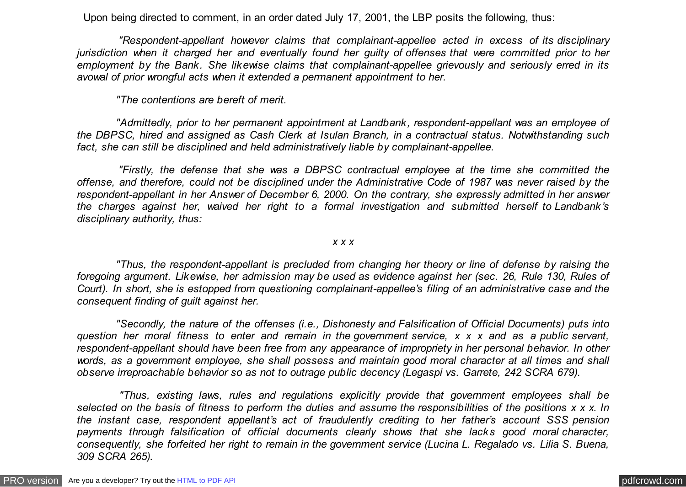Upon being directed to comment, in an order dated July 17, 2001, the LBP posits the following, thus:

 *"Respondent-appellant however claims that complainant-appellee acted in excess of its disciplinary jurisdiction when it charged her and eventually found her guilty of offenses that were committed prior to her employment by the Bank. She likewise claims that complainant-appellee grievously and seriously erred in its avowal of prior wrongful acts when it extended a permanent appointment to her.*

 *"The contentions are bereft of merit.*

 *"Admittedly, prior to her permanent appointment at Landbank, respondent-appellant was an employee of the DBPSC, hired and assigned as Cash Clerk at Isulan Branch, in a contractual status. Notwithstanding such fact, she can still be disciplined and held administratively liable by complainant-appellee.*

 *"Firstly, the defense that she was a DBPSC contractual employee at the time she committed the offense, and therefore, could not be disciplined under the Administrative Code of 1987 was never raised by the respondent-appellant in her Answer of December 6, 2000. On the contrary, she expressly admitted in her answer the charges against her, waived her right to a formal investigation and submitted herself to Landbank's disciplinary authority, thus:*

*x x x*

 *"Thus, the respondent-appellant is precluded from changing her theory or line of defense by raising the foregoing argument. Likewise, her admission may be used as evidence against her (sec. 26, Rule 130, Rules of Court). In short, she is estopped from questioning complainant-appellee's filing of an administrative case and the consequent finding of guilt against her.*

 *"Secondly, the nature of the offenses (i.e., Dishonesty and Falsification of Official Documents) puts into question her moral fitness to enter and remain in the government service, x x x and as a public servant, respondent-appellant should have been free from any appearance of impropriety in her personal behavior. In other words, as a government employee, she shall possess and maintain good moral character at all times and shall observe irreproachable behavior so as not to outrage public decency (Legaspi vs. Garrete, 242 SCRA 679).*

 *"Thus, existing laws, rules and regulations explicitly provide that government employees shall be selected on the basis of fitness to perform the duties and assume the responsibilities of the positions x x x. In the instant case, respondent appellant's act of fraudulently crediting to her father's account SSS pension payments through falsification of official documents clearly shows that she lacks good moral character, consequently, she forfeited her right to remain in the government service (Lucina L. Regalado vs. Lilia S. Buena, 309 SCRA 265).*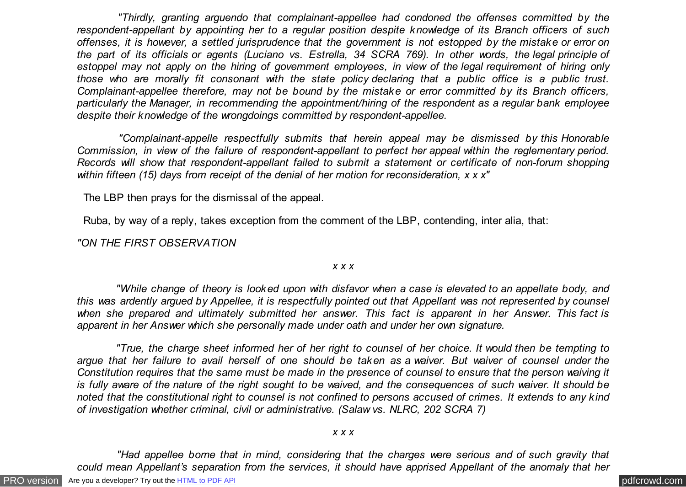*"Thirdly, granting arguendo that complainant-appellee had condoned the offenses committed by the respondent-appellant by appointing her to a regular position despite knowledge of its Branch officers of such offenses, it is however, a settled jurisprudence that the government is not estopped by the mistake or error on the part of its officials or agents (Luciano vs. Estrella, 34 SCRA 769). In other words, the legal principle of estoppel may not apply on the hiring of government employees, in view of the legal requirement of hiring only those who are morally fit consonant with the state policy declaring that a public office is a public trust. Complainant-appellee therefore, may not be bound by the mistake or error committed by its Branch officers, particularly the Manager, in recommending the appointment/hiring of the respondent as a regular bank employee despite their knowledge of the wrongdoings committed by respondent-appellee.*

 *"Complainant-appelle respectfully submits that herein appeal may be dismissed by this Honorable Commission, in view of the failure of respondent-appellant to perfect her appeal within the reglementary period. Records will show that respondent-appellant failed to submit a statement or certificate of non-forum shopping within fifteen (15) days from receipt of the denial of her motion for reconsideration, x x x"*

The LBP then prays for the dismissal of the appeal.

Ruba, by way of a reply, takes exception from the comment of the LBP, contending, inter alia, that:

*"ON THE FIRST OBSERVATION*

#### *x x x*

 *"While change of theory is looked upon with disfavor when a case is elevated to an appellate body, and this was ardently argued by Appellee, it is respectfully pointed out that Appellant was not represented by counsel when she prepared and ultimately submitted her answer. This fact is apparent in her Answer. This fact is apparent in her Answer which she personally made under oath and under her own signature.*

 *"True, the charge sheet informed her of her right to counsel of her choice. It would then be tempting to argue that her failure to avail herself of one should be taken as a waiver. But waiver of counsel under the Constitution requires that the same must be made in the presence of counsel to ensure that the person waiving it is fully aware of the nature of the right sought to be waived, and the consequences of such waiver. It should be noted that the constitutional right to counsel is not confined to persons accused of crimes. It extends to any kind of investigation whether criminal, civil or administrative. (Salaw vs. NLRC, 202 SCRA 7)*

#### *x x x*

 *"Had appellee borne that in mind, considering that the charges were serious and of such gravity that could mean Appellant's separation from the services, it should have apprised Appellant of the anomaly that her*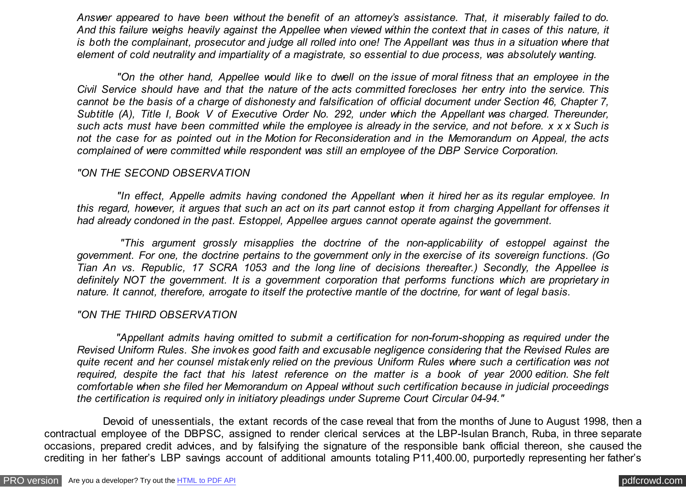*Answer appeared to have been without the benefit of an attorney's assistance. That, it miserably failed to do. And this failure weighs heavily against the Appellee when viewed within the context that in cases of this nature, it is both the complainant, prosecutor and judge all rolled into one! The Appellant was thus in a situation where that element of cold neutrality and impartiality of a magistrate, so essential to due process, was absolutely wanting.*

 *"On the other hand, Appellee would like to dwell on the issue of moral fitness that an employee in the Civil Service should have and that the nature of the acts committed forecloses her entry into the service. This cannot be the basis of a charge of dishonesty and falsification of official document under Section 46, Chapter 7, Subtitle (A), Title I, Book V of Executive Order No. 292, under which the Appellant was charged. Thereunder, such acts must have been committed while the employee is already in the service, and not before. x x x Such is not the case for as pointed out in the Motion for Reconsideration and in the Memorandum on Appeal, the acts complained of were committed while respondent was still an employee of the DBP Service Corporation.*

## *"ON THE SECOND OBSERVATION*

 *"In effect, Appelle admits having condoned the Appellant when it hired her as its regular employee. In this regard, however, it argues that such an act on its part cannot estop it from charging Appellant for offenses it had already condoned in the past. Estoppel, Appellee argues cannot operate against the government.*

 *"This argument grossly misapplies the doctrine of the non-applicability of estoppel against the government. For one, the doctrine pertains to the government only in the exercise of its sovereign functions. (Go Tian An vs. Republic, 17 SCRA 1053 and the long line of decisions thereafter.) Secondly, the Appellee is definitely NOT the government. It is a government corporation that performs functions which are proprietary in nature. It cannot, therefore, arrogate to itself the protective mantle of the doctrine, for want of legal basis.*

## *"ON THE THIRD OBSERVATION*

 *"Appellant admits having omitted to submit a certification for non-forum-shopping as required under the Revised Uniform Rules. She invokes good faith and excusable negligence considering that the Revised Rules are quite recent and her counsel mistakenly relied on the previous Uniform Rules where such a certification was not required, despite the fact that his latest reference on the matter is a book of year 2000 edition. She felt comfortable when she filed her Memorandum on Appeal without such certification because in judicial proceedings the certification is required only in initiatory pleadings under Supreme Court Circular 04-94."*

 Devoid of unessentials, the extant records of the case reveal that from the months of June to August 1998, then a contractual employee of the DBPSC, assigned to render clerical services at the LBP-Isulan Branch, Ruba, in three separate occasions, prepared credit advices, and by falsifying the signature of the responsible bank official thereon, she caused the crediting in her father's LBP savings account of additional amounts totaling P11,400.00, purportedly representing her father's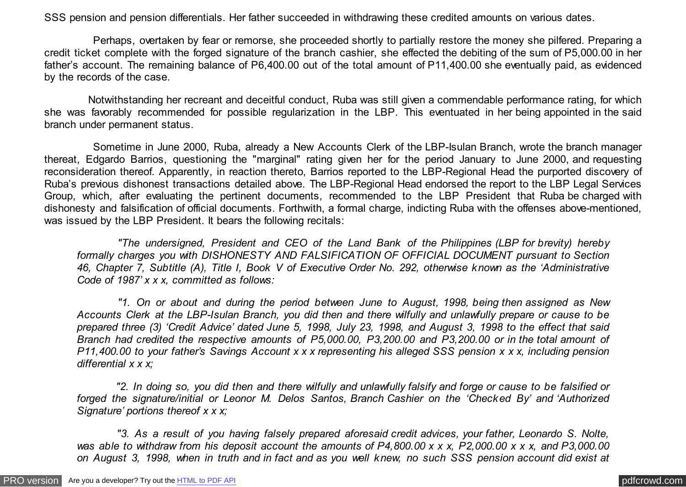SSS pension and pension differentials. Her father succeeded in withdrawing these credited amounts on various dates.

 Perhaps, overtaken by fear or remorse, she proceeded shortly to partially restore the money she pilfered. Preparing a credit ticket complete with the forged signature of the branch cashier, she effected the debiting of the sum of P5,000.00 in her father's account. The remaining balance of P6,400.00 out of the total amount of P11,400.00 she eventually paid, as evidenced by the records of the case.

 Notwithstanding her recreant and deceitful conduct, Ruba was still given a commendable performance rating, for which she was favorably recommended for possible regularization in the LBP. This eventuated in her being appointed in the said branch under permanent status.

 Sometime in June 2000, Ruba, already a New Accounts Clerk of the LBP-Isulan Branch, wrote the branch manager thereat, Edgardo Barrios, questioning the "marginal" rating given her for the period January to June 2000, and requesting reconsideration thereof. Apparently, in reaction thereto, Barrios reported to the LBP-Regional Head the purported discovery of Ruba's previous dishonest transactions detailed above. The LBP-Regional Head endorsed the report to the LBP Legal Services Group, which, after evaluating the pertinent documents, recommended to the LBP President that Ruba be charged with dishonesty and falsification of official documents. Forthwith, a formal charge, indicting Ruba with the offenses above-mentioned, was issued by the LBP President. It bears the following recitals:

 *"The undersigned, President and CEO of the Land Bank of the Philippines (LBP for brevity) hereby formally charges you with DISHONESTY AND FALSIFICATION OF OFFICIAL DOCUMENT pursuant to Section 46, Chapter 7, Subtitle (A), Title I, Book V of Executive Order No. 292, otherwise known as the 'Administrative Code of 1987' x x x, committed as follows:*

 *"1. On or about and during the period between June to August, 1998, being then assigned as New Accounts Clerk at the LBP-Isulan Branch, you did then and there wilfully and unlawfully prepare or cause to be prepared three (3) 'Credit Advice' dated June 5, 1998, July 23, 1998, and August 3, 1998 to the effect that said Branch had credited the respective amounts of P5,000.00, P3,200.00 and P3,200.00 or in the total amount of P11,400.00 to your father's Savings Account x x x representing his alleged SSS pension x x x, including pension differential x x x;*

 *"2. In doing so, you did then and there wilfully and unlawfully falsify and forge or cause to be falsified or forged the signature/initial or Leonor M. Delos Santos, Branch Cashier on the 'Checked By' and 'Authorized Signature' portions thereof x x x;*

 *"3. As a result of you having falsely prepared aforesaid credit advices, your father, Leonardo S. Nolte, was able to withdraw from his deposit account the amounts of P4,800.00 x x x, P2,000.00 x x x, and P3,000.00 on August 3, 1998, when in truth and in fact and as you well knew, no such SSS pension account did exist at*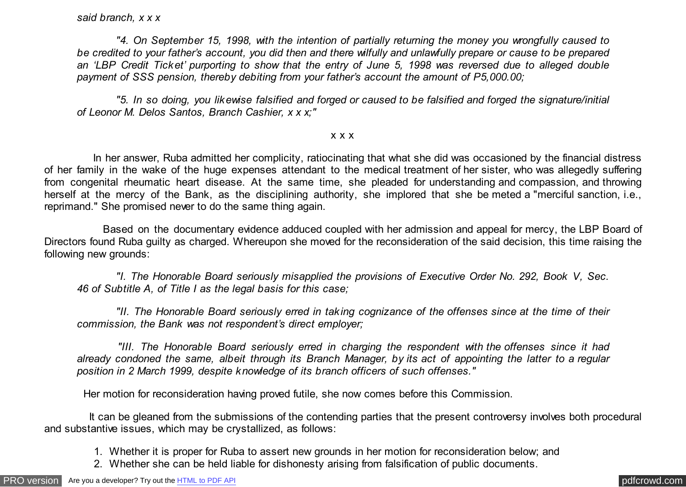### *said branch, x x x*

 *"4. On September 15, 1998, with the intention of partially returning the money you wrongfully caused to be credited to your father's account, you did then and there wilfully and unlawfully prepare or cause to be prepared an 'LBP Credit Ticket' purporting to show that the entry of June 5, 1998 was reversed due to alleged double payment of SSS pension, thereby debiting from your father's account the amount of P5,000.00;*

 *"5. In so doing, you likewise falsified and forged or caused to be falsified and forged the signature/initial of Leonor M. Delos Santos, Branch Cashier, x x x;"*

#### x x x

 In her answer, Ruba admitted her complicity, ratiocinating that what she did was occasioned by the financial distress of her family in the wake of the huge expenses attendant to the medical treatment of her sister, who was allegedly suffering from congenital rheumatic heart disease. At the same time, she pleaded for understanding and compassion, and throwing herself at the mercy of the Bank, as the disciplining authority, she implored that she be meted a "merciful sanction, i.e., reprimand." She promised never to do the same thing again.

 Based on the documentary evidence adduced coupled with her admission and appeal for mercy, the LBP Board of Directors found Ruba guilty as charged. Whereupon she moved for the reconsideration of the said decision, this time raising the following new grounds:

 *"I. The Honorable Board seriously misapplied the provisions of Executive Order No. 292, Book V, Sec. 46 of Subtitle A, of Title I as the legal basis for this case;*

 *"II. The Honorable Board seriously erred in taking cognizance of the offenses since at the time of their commission, the Bank was not respondent's direct employer;*

 *"III. The Honorable Board seriously erred in charging the respondent with the offenses since it had already condoned the same, albeit through its Branch Manager, by its act of appointing the latter to a regular position in 2 March 1999, despite knowledge of its branch officers of such offenses."*

Her motion for reconsideration having proved futile, she now comes before this Commission.

 It can be gleaned from the submissions of the contending parties that the present controversy involves both procedural and substantive issues, which may be crystallized, as follows:

- 1. Whether it is proper for Ruba to assert new grounds in her motion for reconsideration below; and
- 2. Whether she can be held liable for dishonesty arising from falsification of public documents.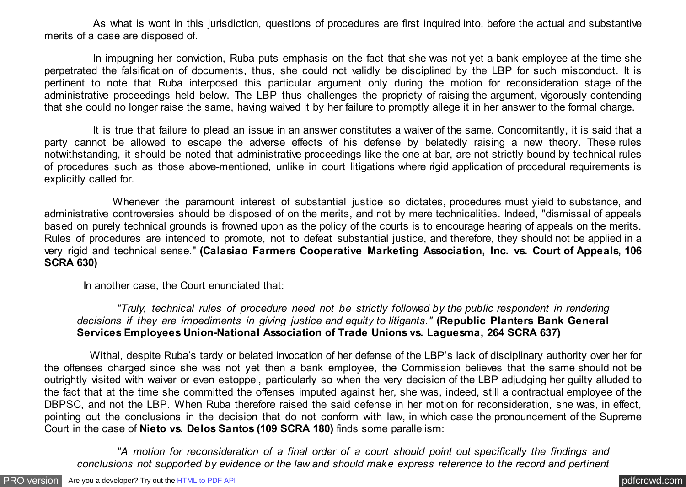As what is wont in this jurisdiction, questions of procedures are first inquired into, before the actual and substantive merits of a case are disposed of.

 In impugning her conviction, Ruba puts emphasis on the fact that she was not yet a bank employee at the time she perpetrated the falsification of documents, thus, she could not validly be disciplined by the LBP for such misconduct. It is pertinent to note that Ruba interposed this particular argument only during the motion for reconsideration stage of the administrative proceedings held below. The LBP thus challenges the propriety of raising the argument, vigorously contending that she could no longer raise the same, having waived it by her failure to promptly allege it in her answer to the formal charge.

 It is true that failure to plead an issue in an answer constitutes a waiver of the same. Concomitantly, it is said that a party cannot be allowed to escape the adverse effects of his defense by belatedly raising a new theory. These rules notwithstanding, it should be noted that administrative proceedings like the one at bar, are not strictly bound by technical rules of procedures such as those above-mentioned, unlike in court litigations where rigid application of procedural requirements is explicitly called for.

 Whenever the paramount interest of substantial justice so dictates, procedures must yield to substance, and administrative controversies should be disposed of on the merits, and not by mere technicalities. Indeed, "dismissal of appeals based on purely technical grounds is frowned upon as the policy of the courts is to encourage hearing of appeals on the merits. Rules of procedures are intended to promote, not to defeat substantial justice, and therefore, they should not be applied in a very rigid and technical sense." **(Calasiao Farmers Cooperative Marketing Association, Inc. vs. Court of Appeals, 106 SCRA 630)**

In another case, the Court enunciated that:

 *"Truly, technical rules of procedure need not be strictly followed by the public respondent in rendering decisions if they are impediments in giving justice and equity to litigants."* **(Republic Planters Bank General Services Employees Union-National Association of Trade Unions vs. Laguesma, 264 SCRA 637)**

 Withal, despite Ruba's tardy or belated invocation of her defense of the LBP's lack of disciplinary authority over her for the offenses charged since she was not yet then a bank employee, the Commission believes that the same should not be outrightly visited with waiver or even estoppel, particularly so when the very decision of the LBP adjudging her guilty alluded to the fact that at the time she committed the offenses imputed against her, she was, indeed, still a contractual employee of the DBPSC, and not the LBP. When Ruba therefore raised the said defense in her motion for reconsideration, she was, in effect, pointing out the conclusions in the decision that do not conform with law, in which case the pronouncement of the Supreme Court in the case of **Nieto vs. Delos Santos (109 SCRA 180)** finds some parallelism:

 *"A motion for reconsideration of a final order of a court should point out specifically the findings and conclusions not supported by evidence or the law and should make express reference to the record and pertinent*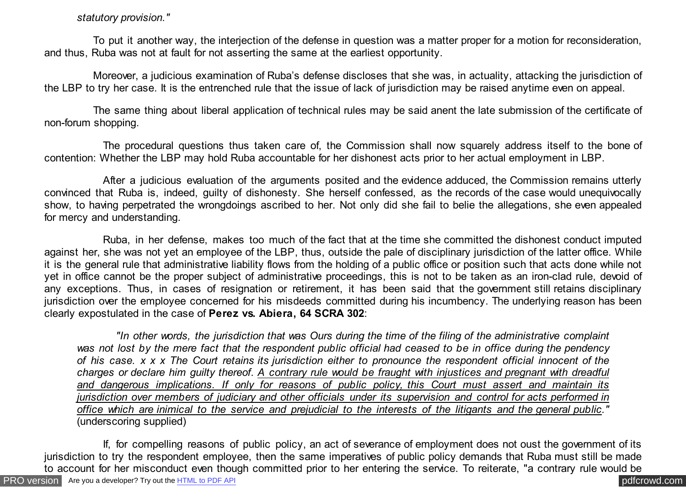## *statutory provision."*

 To put it another way, the interjection of the defense in question was a matter proper for a motion for reconsideration, and thus, Ruba was not at fault for not asserting the same at the earliest opportunity.

 Moreover, a judicious examination of Ruba's defense discloses that she was, in actuality, attacking the jurisdiction of the LBP to try her case. It is the entrenched rule that the issue of lack of jurisdiction may be raised anytime even on appeal.

 The same thing about liberal application of technical rules may be said anent the late submission of the certificate of non-forum shopping.

 The procedural questions thus taken care of, the Commission shall now squarely address itself to the bone of contention: Whether the LBP may hold Ruba accountable for her dishonest acts prior to her actual employment in LBP.

 After a judicious evaluation of the arguments posited and the evidence adduced, the Commission remains utterly convinced that Ruba is, indeed, guilty of dishonesty. She herself confessed, as the records of the case would unequivocally show, to having perpetrated the wrongdoings ascribed to her. Not only did she fail to belie the allegations, she even appealed for mercy and understanding.

 Ruba, in her defense, makes too much of the fact that at the time she committed the dishonest conduct imputed against her, she was not yet an employee of the LBP, thus, outside the pale of disciplinary jurisdiction of the latter office. While it is the general rule that administrative liability flows from the holding of a public office or position such that acts done while not yet in office cannot be the proper subject of administrative proceedings, this is not to be taken as an iron-clad rule, devoid of any exceptions. Thus, in cases of resignation or retirement, it has been said that the government still retains disciplinary jurisdiction over the employee concerned for his misdeeds committed during his incumbency. The underlying reason has been clearly expostulated in the case of **Perez vs. Abiera, 64 SCRA 302**:

 *"In other words, the jurisdiction that was Ours during the time of the filing of the administrative complaint was not lost by the mere fact that the respondent public official had ceased to be in office during the pendency of his case. x x x The Court retains its jurisdiction either to pronounce the respondent official innocent of the charges or declare him guilty thereof. A contrary rule would be fraught with injustices and pregnant with dreadful and dangerous implications. If only for reasons of public policy, this Court must assert and maintain its jurisdiction over members of judiciary and other officials under its supervision and control for acts performed in office which are inimical to the service and prejudicial to the interests of the litigants and the general public."* (underscoring supplied)

[PRO version](http://pdfcrowd.com/customize/) Are you a developer? Try out th[e HTML to PDF API](http://pdfcrowd.com/html-to-pdf-api/?ref=pdf) contract the CHTML of PDF API [pdfcrowd.com](http://pdfcrowd.com) If, for compelling reasons of public policy, an act of severance of employment does not oust the government of its jurisdiction to try the respondent employee, then the same imperatives of public policy demands that Ruba must still be made to account for her misconduct even though committed prior to her entering the service. To reiterate, "a contrary rule would be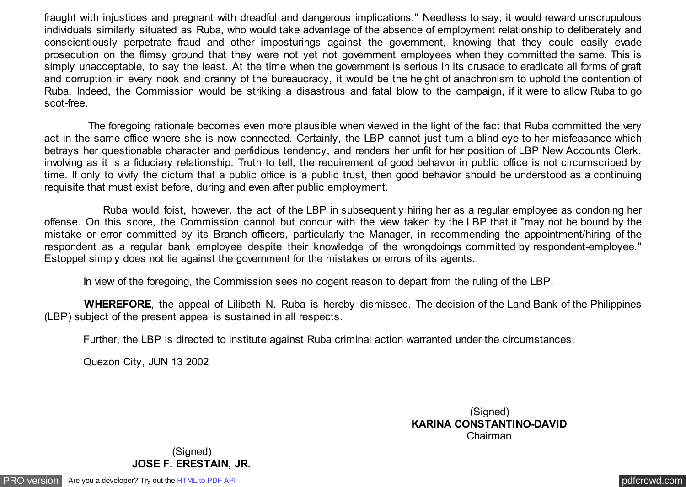fraught with injustices and pregnant with dreadful and dangerous implications." Needless to say, it would reward unscrupulous individuals similarly situated as Ruba, who would take advantage of the absence of employment relationship to deliberately and conscientiously perpetrate fraud and other imposturings against the government, knowing that they could easily evade prosecution on the flimsy ground that they were not yet not government employees when they committed the same. This is simply unacceptable, to say the least. At the time when the government is serious in its crusade to eradicate all forms of graft and corruption in every nook and cranny of the bureaucracy, it would be the height of anachronism to uphold the contention of Ruba. Indeed, the Commission would be striking a disastrous and fatal blow to the campaign, if it were to allow Ruba to go scot-free.

 The foregoing rationale becomes even more plausible when viewed in the light of the fact that Ruba committed the very act in the same office where she is now connected. Certainly, the LBP cannot just turn a blind eye to her misfeasance which betrays her questionable character and perfidious tendency, and renders her unfit for her position of LBP New Accounts Clerk, involving as it is a fiduciary relationship. Truth to tell, the requirement of good behavior in public office is not circumscribed by time. If only to vivify the dictum that a public office is a public trust, then good behavior should be understood as a continuing requisite that must exist before, during and even after public employment.

 Ruba would foist, however, the act of the LBP in subsequently hiring her as a regular employee as condoning her offense. On this score, the Commission cannot but concur with the view taken by the LBP that it "may not be bound by the mistake or error committed by its Branch officers, particularly the Manager, in recommending the appointment/hiring of the respondent as a regular bank employee despite their knowledge of the wrongdoings committed by respondent-employee." Estoppel simply does not lie against the government for the mistakes or errors of its agents.

In view of the foregoing, the Commission sees no cogent reason to depart from the ruling of the LBP.

 **WHEREFORE**, the appeal of Lilibeth N. Ruba is hereby dismissed. The decision of the Land Bank of the Philippines (LBP) subject of the present appeal is sustained in all respects.

Further, the LBP is directed to institute against Ruba criminal action warranted under the circumstances.

Quezon City, JUN 13 2002

(Signed) **KARINA CONSTANTINO-DAVID** Chairman

(Signed) **JOSE F. ERESTAIN, JR.**